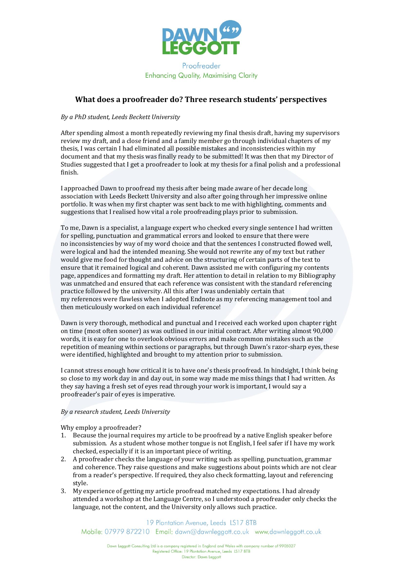

### **What does a proofreader do? Three research students' perspectives**

#### *By a PhD student, Leeds Beckett University*

After spending almost a month repeatedly reviewing my final thesis draft, having my supervisors review my draft, and a close friend and a family member go through individual chapters of my thesis, I was certain I had eliminated all possible mistakes and inconsistencies within my document and that my thesis was finally ready to be submitted! It was then that my Director of Studies suggested that I get a proofreader to look at my thesis for a final polish and a professional finish.

I approached Dawn to proofread my thesis after being made aware of her decade long association with Leeds Beckett University and also after going through her impressive online portfolio. It was when my first chapter was sent back to me with highlighting, comments and suggestions that I realised how vital a role proofreading plays prior to submission.

To me, Dawn is a specialist, a language expert who checked every single sentence I had written for spelling, punctuation and grammatical errors and looked to ensure that there were no inconsistencies by way of my word choice and that the sentences I constructed flowed well, were logical and had the intended meaning. She would not rewrite any of my text but rather would give me food for thought and advice on the structuring of certain parts of the text to ensure that it remained logical and coherent. Dawn assisted me with configuring my contents page, appendices and formatting my draft. Her attention to detail in relation to my Bibliography was unmatched and ensured that each reference was consistent with the standard referencing practice followed by the university. All this after I was undeniably certain that my references were flawless when I adopted Endnote as my referencing management tool and then meticulously worked on each individual reference!

Dawn is very thorough, methodical and punctual and I received each worked upon chapter right on time (most often sooner) as was outlined in our initial contract. After writing almost 90,000 words, it is easy for one to overlook obvious errors and make common mistakes such as the repetition of meaning within sections or paragraphs, but through Dawn's razor-sharp eyes, these were identified, highlighted and brought to my attention prior to submission.

I cannot stress enough how critical it is to have one's thesis proofread. In hindsight, I think being so close to my work day in and day out, in some way made me miss things that I had written. As they say having a fresh set of eyes read through your work is important, I would say a proofreader's pair of eyes is imperative.

#### *By a research student, Leeds University*

Why employ a proofreader?

- 1. Because the journal requires my article to be proofread by a native English speaker before submission. As a student whose mother tongue is not English, I feel safer if I have my work checked, especially if it is an important piece of writing.
- 2. A proofreader checks the language of your writing such as spelling, punctuation, grammar and coherence. They raise questions and make suggestions about points which are not clear from a reader's perspective. If required, they also check formatting, layout and referencing style.
- 3. My experience of getting my article proofread matched my expectations. I had already attended a workshop at the Language Centre, so I understood a proofreader only checks the language, not the content, and the University only allows such practice.

19 Plantation Avenue, Leeds LS17 8TB Mobile: 07979 872210 Email: dawn@dawnleagott.co.uk www.dawnleagott.co.uk